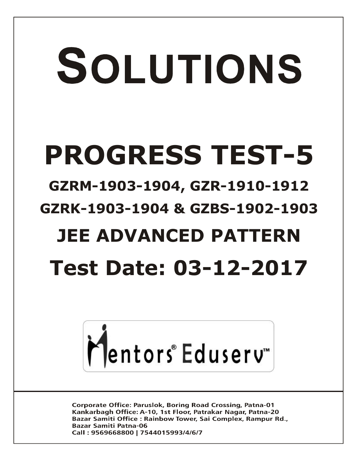# SOLUTIONS **PROGRESS TEST-5**

## **GZRM-1903-1904, GZR-1910-1912 GZRK-1903-1904 & GZBS-1902-1903**

# **JEE ADVANCED PATTERN**

# **Test Date: 03-12-2017**



**Corporate Office: Paruslok, Boring Road Crossing, Patna-01** Kankarbagh Office: A-10, 1st Floor, Patrakar Nagar, Patna-20 Bazar Samiti Office: Rainbow Tower, Sai Complex, Rampur Rd., **Bazar Samiti Patna-06** Call: 9569668800 | 7544015993/4/6/7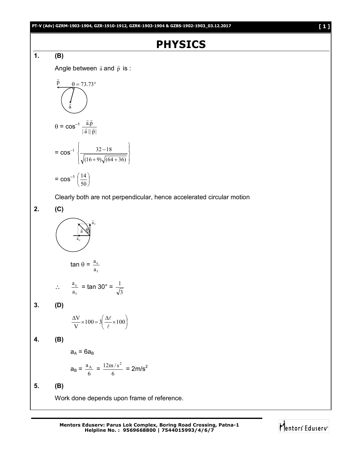## **PHYSICS**

#### **1. (B)**

Angle between  $\vec{a}$  and  $\vec{p}$  is :

$$
\vec{p} = 73.73^{\circ}
$$
\n
$$
\vec{a} = \cos^{-1} \frac{\vec{a} \cdot \vec{p}}{|\vec{a}||\vec{p}|}
$$
\n
$$
= \cos^{-1} \left\{ \frac{32 - 18}{\sqrt{(16 + 9)\sqrt{(64 + 36)}}} \right\}
$$
\n
$$
= \cos^{-1} \left( \frac{14}{50} \right)
$$

Clearly both are not perpendicular, hence accelerated circular motion

**2. (C)** tan  $\theta$  = t c a a  $\mathbb{R}^3$ t c a  $\frac{a_c}{a}$  = tan 30° = **3. (D)**  $\frac{\Delta \ell}{\epsilon}\times 100$  $\setminus$  $\frac{\Delta V}{V} \times 100 = 3 \left( \frac{\Delta \ell}{\ell} \times 100 \right)$ V  $\ell$  $\ell$ **4. (B)**  $a_A = 6a_B$ t a  $\overline{\phantom{a}}$ c a ÷ a  $\overline{ }$  $\theta$ 

$$
a_{\rm B} = \frac{a_{\rm A}}{6} = \frac{12 \text{m/s}^2}{6} = 2 \text{m/s}^2
$$

**5. (B)**

Work done depends upon frame of reference.

3 1

> J J

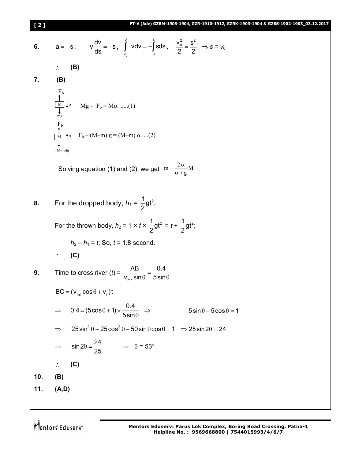6. 
$$
a = -s
$$
,  $v \frac{dv}{ds} = -s$ ,  $\int_{v_0}^{0} v dv = -\int_{0}^{s} s ds$ ,  $\frac{v_0^2}{2} = \frac{s^2}{2} \Rightarrow s = v_0$   
\n $\therefore$  (B)  
\n  
\n7. (B)  
\n  
\n $\frac{1}{\sqrt{25}}$   
\n $\frac{1}{\sqrt{25}}$   
\n $\frac{1}{\sqrt{25}}$   
\n $\frac{1}{\sqrt{25}}$   
\n $\frac{1}{\sqrt{25}}$   
\n $\frac{1}{\sqrt{25}}$   
\n $\frac{1}{\sqrt{25}}$   
\n $\frac{1}{\sqrt{25}}$   
\n $\frac{1}{\sqrt{25}}$   
\n $\frac{1}{\sqrt{25}}$   
\n $\frac{1}{\sqrt{25}}$   
\n $\frac{1}{\sqrt{25}}$   
\n $\frac{1}{\sqrt{25}}$   
\n $\frac{1}{\sqrt{25}}$   
\n $\frac{1}{\sqrt{25}}$   
\n $\frac{1}{\sqrt{25}}$   
\n $\frac{1}{\sqrt{25}}$   
\n $\frac{1}{\sqrt{25}}$   
\n $\frac{1}{\sqrt{25}}$   
\n $\frac{1}{\sqrt{25}}$   
\n $\frac{1}{\sqrt{25}}$   
\n $\frac{1}{\sqrt{25}}$   
\n $\frac{1}{\sqrt{25}}$   
\n $\frac{1}{\sqrt{25}}$   
\n $\frac{1}{\sqrt{25}}$   
\n $\frac{1}{\sqrt{25}}$   
\n $\frac{1}{\sqrt{25}}$   
\n $\frac{1}{\sqrt{25}}$   
\n $\frac{1}{\sqrt{25}}$   
\n $\frac{1}{\sqrt{25}}$   
\n $\frac{1}{\sqrt{25}}$   
\n $\frac{1}{\sqrt{25}}$   
\n $\frac{1}{\sqrt{25}}$   
\n $\frac{1}{\sqrt{25}}$   
\n $\frac{1}{\sqrt{25}}$   
\n $\frac{1}{\sqrt{25}}$ 

Mentors<sup>®</sup> Eduserv<sup>®</sup>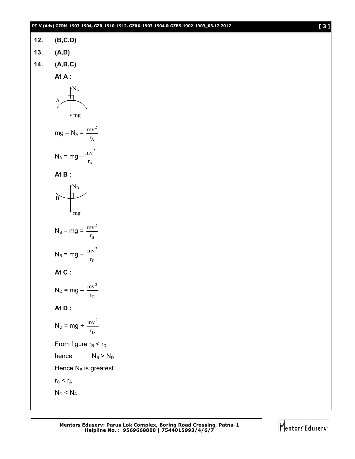#### **PT-V (Adv) GZRM-1903-1904, GZR-1910-1912, GZRK-1903-1904 & GZBS-1902-1903\_03.12.2017 [ 3 ]**

| 12. | (B, C, D) |
|-----|-----------|
|     |           |

- **13. (A,D)**
- **14. (A,B,C)**

**At A :**

$$
A \overbrace{\bigwedge^{N_A}_{mg}}
$$

$$
mg - N_A = \frac{mv^2}{r_A}
$$

$$
N_A = mg - \frac{mv^2}{r_A}
$$

$$
\mathsf{At}\,\mathsf{B}:
$$

$$
B
$$

$$
N_B - mg = \frac{mv^2}{r_B}
$$

$$
N_B = mg + \frac{mv^2}{r_B}
$$

$$
\mathsf{At}\ \mathsf{C}:
$$

$$
N_C = mg - \frac{mv^2}{r_C}
$$

#### **At D :**

$$
N_{D} = mg + \frac{mv^{2}}{r_{D}}
$$
  
From figure  $r_{B} < r_{D}$   
hence  $N_{B} > N_{D}$   
Hence  $N_{B}$  is greatest  
 $r_{C} < r_{A}$   
 $N_{C} < N_{A}$ 

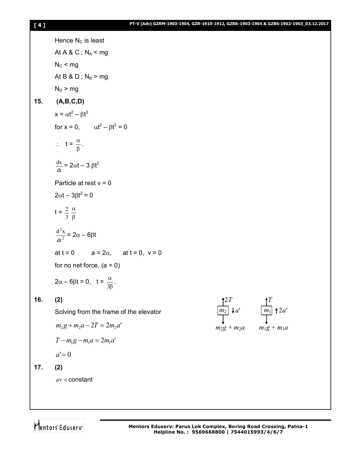|     | Hence $N_c$ is least                                     |                               |                     |
|-----|----------------------------------------------------------|-------------------------------|---------------------|
|     | At A & C; $N_A$ < mg                                     |                               |                     |
|     | $N_c$ < mg                                               |                               |                     |
|     | At B & D; $N_B > mg$                                     |                               |                     |
|     | $N_D > mg$                                               |                               |                     |
| 15. | (A,B,C,D)                                                |                               |                     |
|     | $x = \alpha t^2 - \beta t^3$                             |                               |                     |
|     | for $x = 0$ , $\alpha t^2 - \beta t^3 = 0$               |                               |                     |
|     | $\therefore$ $t = \frac{\alpha}{\beta}$ .                |                               |                     |
|     | $\frac{dx}{dt} = 2\alpha t - 3 \beta t^2$                |                               |                     |
|     | Particle at rest $v = 0$                                 |                               |                     |
|     | $2\alpha t - 3\beta t^2 = 0$                             |                               |                     |
|     | $t = \frac{2}{3} \frac{\alpha}{8}$                       |                               |                     |
|     | $\frac{d^2x}{dt^2} = 2\alpha - 6\beta t$                 |                               |                     |
|     | $a = 2\alpha$ , at $t = 0$ , $v = 0$<br>at $t = 0$       |                               |                     |
|     | for no net force, $(a = 0)$                              |                               |                     |
|     | $2\alpha - 6\beta t = 0$ , $t = \frac{\alpha}{3\beta}$ . |                               |                     |
| 16. | (2)                                                      |                               |                     |
|     | Solving from the frame of the elevator                   | $\boxed{m_2}$ $\downarrow$ a' | $\boxed{m_1}$ † 2a' |
|     | $m_2g + m_2a - 2T = 2m_2a'$                              | $m_2g + m_2a$                 | $m_1g + m_1a$       |
|     | $T - m_1 g - m_1 a = 2 m_1 a'$                           |                               |                     |
|     | $a'=0$                                                   |                               |                     |
| 17. | (2)                                                      |                               |                     |
|     | $av = constant$                                          |                               |                     |
|     |                                                          |                               |                     |

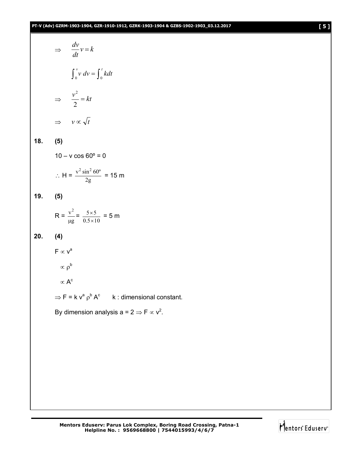#### **PT-V (Adv) GZRM-1903-1904, GZR-1910-1912, GZRK-1903-1904 & GZBS-1902-1903\_03.12.2017 [ 5 ]**

$$
\Rightarrow \frac{dv}{dt}v = k
$$
  

$$
\int_0^v v dv = \int_0^t k dt
$$
  

$$
\Rightarrow \frac{v^2}{2} = kt
$$
  

$$
\Rightarrow v \propto \sqrt{t}
$$

**18. (5)**

 $10 - v \cos 60^\circ = 0$ 

$$
\therefore H = \frac{v^2 \sin^2 60^\circ}{2g} = 15 \text{ m}
$$

#### **19. (5)**

$$
R = \frac{v^2}{\mu g} = \frac{5 \times 5}{0.5 \times 10} = 5 \text{ m}
$$

#### **20. (4)**

 $F \propto v^a$ 

$$
f_{\rm{max}}
$$

 $\propto \rho^b$  $\propto$  A $^{\rm c}$ 

 $\Rightarrow$  F = k  $v^a \rho^b A^c$  k : dimensional constant.

By dimension analysis a = 2  $\Rightarrow$  F  $\propto$  v<sup>2</sup>.

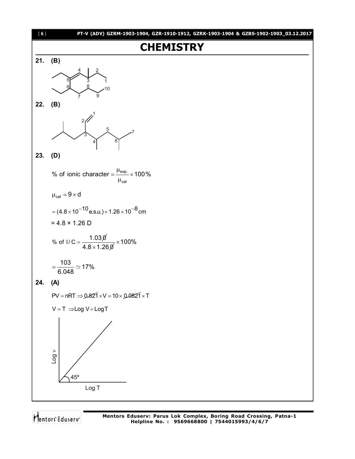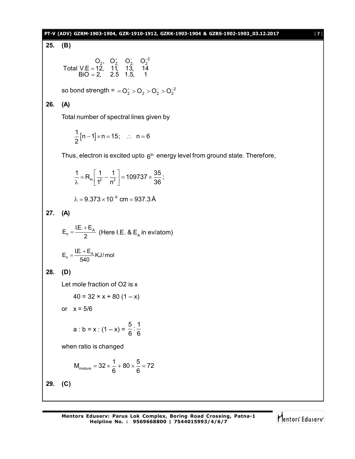#### **PT-V (ADV) GZRM-1903-1904, GZR-1910-1912, GZRK-1903-1904 & GZBS-1902-1903\_03.12.2017** [ **7** ]

**25. (B)**

$$
\begin{array}{ccc}\n & O_2, & O_2^+ & O_2^- & O_2^{-2} \\
\text{Total V.E} = 12, & 11, & 13, & 14 \\
 & \text{BiO} = 2, & 2.5 & 1.5, & 1\n\end{array}
$$

so bond strength =  $= O_2^+ > O_2 > O_2^- > O_2^{-2}$ 

### **26. (A)**

Total number of spectral lines given by

$$
\frac{1}{2}\left[n-1\right]\times n=15;\quad \therefore\quad n=6
$$

Thus, electron is excited upto  $6<sup>th</sup>$  energy level from ground state. Therefore,

$$
\frac{1}{\lambda} = R_{H} \left[ \frac{1}{1^{2}} - \frac{1}{n^{2}} \right] = 109737 \times \frac{35}{36};
$$

 $\lambda = 9.373 \times 10^{-6}$  cm =  $937.3$  Å

**27. (A)**

$$
E_n = \frac{I.E. + E_A}{2}
$$
 (Here I.E. & E<sub>A</sub> in  $ev/atom$ )

$$
E_n = \frac{IE. + E_A}{540} KJ/mol
$$

**28. (D)**

Let mole fraction of O2 is x

$$
40 = 32 \times x + 80 (1 - x)
$$

or  $x = 5/6$ 

a : b = x : (1 - x) = 
$$
\frac{5}{6}
$$
 :  $\frac{1}{6}$ 

when ratio is changed

$$
M_{\text{mixture}}=32\times\frac{1}{6}+80\times\frac{5}{6}=72
$$

**29. (C)**

$$
\biguparrow_{\mathsf{entors}^*\mathsf{Eduserv}^*
$$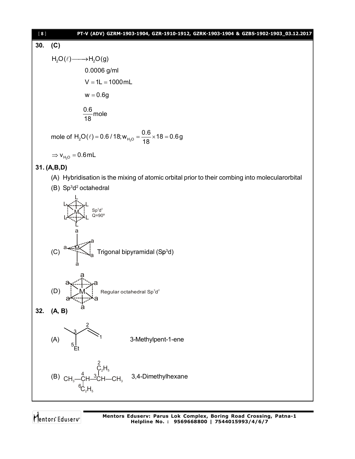

## **30. (C)**

H<sub>2</sub>O(ℓ) → H<sub>2</sub>O(g)  
\n0.0006 g/ml  
\nV = 1L = 1000 mL  
\nw = 0.6g  
\n
$$
\frac{0.6}{18}
$$
 mole  
\nmole of H<sub>2</sub>O(ℓ) = 0.6 / 18; w<sub>H<sub>2</sub>O</sub> =  $\frac{0.6}{18}$  × 18 = 0.6g  
\n⇒ v<sub>H<sub>2</sub>O</sub> = 0.6 mL  
\n31. (A,B,D)

- (A) Hybridisation is the mixing of atomic orbital prior to their combing into molecularorbital
- (B) Sp<sup>3</sup>d<sup>2</sup> octahedral  $Sp<sup>3</sup>d<sup>2</sup>$ Q=90º L L L L L L M (C) a a a a a M Trigonal bipyramidal (Sp<sup>3</sup>d)  $(D)$   $\left\lfloor \right.$  M $\left\lfloor \right.$  Regular octahedral Sp<sup>3</sup>d<sup>2</sup> a a a a a a M **32. (A, B)** (A) Et 1 2 3 5 3-Methylpent-1-ene  $(B)$  CH<sub>3</sub> — CH<sup>3</sup>CH—CH<sub>3</sub>  $C_2H_5$  $\mathsf{C_2H_5}$ 2 3 4 6 3,4-Dimethylhexane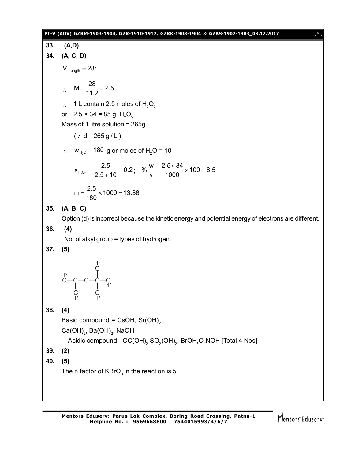#### **PT-V (ADV) GZRM-1903-1904, GZR-1910-1912, GZRK-1903-1904 & GZBS-1902-1903\_03.12.2017** [ **9** ]

**33. (A,D) 34. (A, C, D)**  $V_{\text{strength}} = 28$ ;  $\therefore M = \frac{28}{112} = 2.5$ 11.2  $=\frac{20}{14.0}$  = 2  $\therefore$  1 L contain 2.5 moles of H<sub>2</sub>O<sub>2</sub> or  $2.5 \times 34 = 85$  g H<sub>2</sub>O<sub>2</sub> Mass of 1 litre solution = 265g  $(: d = 265 g/L)$ :  $W_{H_2O} = 180$  g or moles of H<sub>2</sub>O = 10  $x_{H_2O_2} = \frac{2.5}{3.5 \times 10} = 0.2$  $2.5 + 10$  $=\frac{\square \cdot \square}{\square \cdot \square}=($  $\frac{.5}{.5+10}$  = 0.2; %  $\frac{w}{v}$  =  $\frac{2.5 \times 34}{1000}$  × 100 = 8.5 v 1000  $=\frac{2.5\times34}{1000}\times100=8$  $m = \frac{2.5}{100} \times 1000 = 13.88$ 180  $=\frac{210}{100} \times 1000 = 1$ **35. (A, B, C)** Option (d) is incorrect because the kinetic energy and potential energy of electrons are different. **36. (4)** No. of alkyl group = types of hydrogen. **37. (5)** C—C—C—C—C C C C 1º 1º 1º 1º 1º **38. (4)** Basic compound = CsOH,  $Sr(OH)_{2}$ Ca(OH) $_{\textrm{\tiny{2}}}$ , Ba(OH) $_{\textrm{\tiny{2}}}$ , NaOH —Acidic compound - OC(OH) $_{\rm 2}$  SO $_{\rm 2}$ (OH) $_{\rm 2}$ , BrOH,O $_{\rm 2}$ NOH [Total 4 Nos] **39. (2) 40. (5)** The n.factor of KBrO $_{_3}$  in the reaction is 5

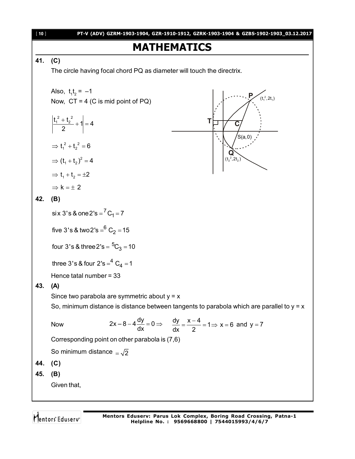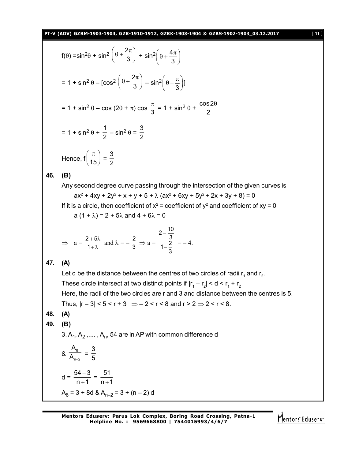**PT-V (ADV) GZRM-1903-1904, GZR-1910-1912, GZRK-1903-1904 & GZBS-1902-1903\_03.12.2017** [ **11** ]

$$
f(\theta) = \sin^2 \theta + \sin^2 \left(\theta + \frac{2\pi}{3}\right) + \sin^2 \left(\theta + \frac{4\pi}{3}\right)
$$
  
\n
$$
= 1 + \sin^2 \theta - \left[\cos^2 \left(\theta + \frac{2\pi}{3}\right) - \sin^2 \left(\theta + \frac{\pi}{3}\right)\right]
$$
  
\n
$$
= 1 + \sin^2 \theta - \cos (2\theta + \pi) \cos \frac{\pi}{3} = 1 + \sin^2 \theta + \frac{\cos 2\theta}{2}
$$
  
\n
$$
= 1 + \sin^2 \theta + \frac{1}{2} - \sin^2 \theta = \frac{3}{2}
$$
  
\nHence,  $f\left(\frac{\pi}{15}\right) = \frac{3}{2}$   
\n(B)  
\nAny second degree curve passing through the intersection of the given curves is  
\n $ax^2 + 4xy + 2y^2 + x + y + 5 + \lambda (ax^2 + 6xy + 5y^2 + 2x + 3y + 8) = 0$   
\nIf it is a circle, then coefficient of  $x^2$  = coefficient of  $y^2$  and coefficient of  $xy = 0$   
\n $a (1 + \lambda) = 2 + 5\lambda$  and  $4 + 6\lambda = 0$   
\n $\Rightarrow a = \frac{2+5\lambda}{1+\lambda}$  and  $\lambda = -\frac{2}{3} \Rightarrow a = \frac{\frac{2-3\pi}{3}}{1-\frac{2}{3}} = -4$ .  
\n(A)  
\nLet d be the distance between the centres of two circles of radii  $r_1$  and  $r_2$ .  
\nThese circle intersect at two distinct points if  $|r_1 - r_2| < d < r_1 + r_2$   
\nHere, the radii of the two circles are r and 3 and distance between the centres is 5.  
\nThus,  $|r - 3| < 5 < r + 3 \Rightarrow -2 < r < 8$  and  $r > 2 \Rightarrow 2 < r < 8$ .  
\n(A)  
\n(B)  
\n3. A<sub>1</sub>, A<sub>2</sub>,..., A<sub>n</sub>, 54 are in AP with common difference d  
\n $8 \frac{A_8}{A_{n-2}} = \frac{3}{5}$   
\n $d = \frac{54-3}{n+1} = \frac{51}{n+1}$ 

 $A_8$  = 3 + 8d &  $A_{n-2}$  = 3 + (n – 2) d

**46. (B)**

**47. (A)**

**48. (A) 49. (B)**

Mentors Eduserv

and  $r_{2}$ .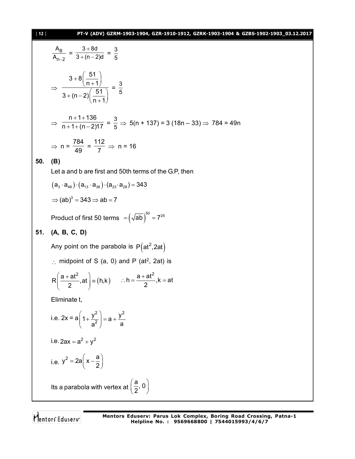[ **12** ] **PT-V (ADV) GZRM-1903-1904, GZR-1910-1912, GZRK-1903-1904 & GZBS-1902-1903\_03.12.2017**

$$
\frac{A_8}{A_{n-2}} = \frac{3+8d}{3+(n-2)d} = \frac{3}{5}
$$
\n  
\n⇒ 
$$
\frac{3+8(\frac{51}{n+1})}{3+(n-2)(\frac{51}{n+1})} = \frac{3}{5}
$$
\n  
\n⇒ 
$$
\frac{n+1+136}{n+1+(n-2)17} = \frac{3}{5} \Rightarrow 5(n+137) = 3 (18n-33) \Rightarrow 784 = 49n
$$
\n  
\n⇒ 
$$
n = \frac{784}{49} = \frac{112}{7} \Rightarrow n = 16
$$
\n  
\n50. (B)\n  
\nLet a and b are first and 50th terms of the G.P, then\n  
\n
$$
(a_3 \cdot a_{48}) \cdot (a_{13} \cdot a_{38}) \cdot (a_{23} \cdot a_{28}) = 343
$$
\n  
\n⇒ 
$$
(ab)^3 = 343 \Rightarrow ab = 7
$$
\n  
\nProduct of first 50 terms =  $(\sqrt{ab})^{50} = 7^{25}$ \n  
\n51. (A, B, C, D)\n  
\nAny point on the parabola is  $P(at^2, 2at)$ \n  
\n∴ midpoint of S (a, 0) and P (at<sup>2</sup>, 2at) is\n  
\n
$$
R(\frac{a+at^2}{2}, at) = (h,k) \quad \therefore h = \frac{a+at^2}{2}, k = at
$$
\nEliminate t,\ni.e.  $2x = a(1+\frac{y^2}{a^2}) = a + \frac{y^2}{a}$ \ni.e.  $2ax = a^2 + y^2$ \n  
\ni.e.  $y^2 = 2a(x-\frac{a}{2})$ \n  
\nIts a parabola with vertex at  $(\frac{a}{2}, 0)$ 

Mentors<sup>®</sup> Eduserv<sup>®</sup>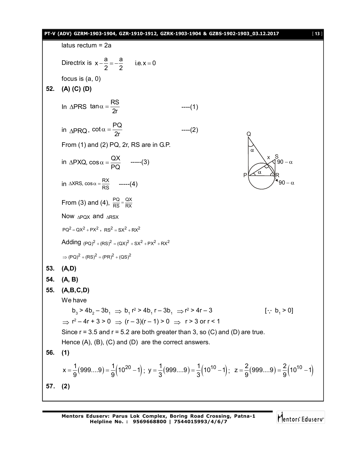#### latus rectum = 2a Directrix is  $x - \frac{a}{2} = -\frac{a}{2}$  i.e.  $x = 0$ 2 2  $-\frac{a}{2}=-\frac{a}{2}$  i.e. x = 0 focus is (a, 0) **52. (A) (C) (D)** In  $\triangle PRS$  tan $\alpha = \frac{RS}{2r}$  ----(1) in  $\triangle PRQ$ , cot $\alpha = \frac{PQ}{2r}$  $\alpha = \frac{1}{2r}$  ----(2) P | A — AR Q S 90 –  $\alpha$ 90  $-\alpha$ x From (1) and (2) PQ, 2r, RS are in G.P. in  $\triangle$ PXQ, cos $\alpha = \frac{QX}{R}$ PQ  $\triangle$ PXQ, cos  $\alpha = \frac{Q}{R}$  -----(3) in  $\triangle$ XRS, cos  $\alpha = \frac{RX}{RS}$  -----(4) From (3) and (4),  $\frac{PQ}{RS} = \frac{QX}{RX}$ Now  $\triangle P$ ox and  $\triangle R$ SX  $PQ^{2} = QX^{2} + PX^{2}$ ,  $RS^{2} = SX^{2} + RX^{2}$ Adding  $(PQ)^2 + (RS)^2 = (QX)^2 + SX^2 + PX^2 + RX^2$  $\Rightarrow (PQ)^2 + (RS)^2 = (PR)^2 + (QS)^2$ **53. (A,D) 54. (A, B) 55. (A,B,C,D)** We have  $b_3 > 4b_2 - 3b_1 \Rightarrow b_1 r^2 > 4b_1 r - 3b_1 \Rightarrow r^2 > 4r - 3$  [: b<sub>1</sub>  $[\cdot, b] > 0$  $\Rightarrow$  r² – 4r + 3 > 0  $\Rightarrow$  (r – 3)(r – 1) > 0  $\Rightarrow$  r > 3 or r < 1 Since  $r = 3.5$  and  $r = 5.2$  are both greater than 3, so (C) and (D) are true. Hence  $(A)$ ,  $(B)$ ,  $(C)$  and  $(D)$  are the correct answers. **56. (1)**  $x = \frac{1}{0} (999...9) = \frac{1}{0} (10^{20} - 1);$  $=$   $\frac{1}{9}(999...9)$  $=$   $\frac{1}{9}(10^{20}-1)$ ;  $y = \frac{1}{3}(999...9)$  $=$   $\frac{1}{3}(10^{10}-1)$ ;  $=$   $\frac{1}{3}(999...9)$   $=$   $\frac{1}{3}(10^{10}-1)$ ;  $z = \frac{2}{9}(999...9)$   $=$   $\frac{2}{9}(10^{10}-1)$  $9^{(3)}$  9  $=\frac{1}{6}(999....9)=\frac{1}{6}(10^{10}-1)$

**PT-V (ADV) GZRM-1903-1904, GZR-1910-1912, GZRK-1903-1904 & GZBS-1902-1903\_03.12.2017** [ **13** ]

**Mentors Eduserv: Parus Lok Complex, Boring Road Crossing, Patna-1 Helpline No. : 9569668800 | 7544015993/4/6/7**

**57. (2)**

Mentors<sup>®</sup> Eduserv<sup>®</sup>